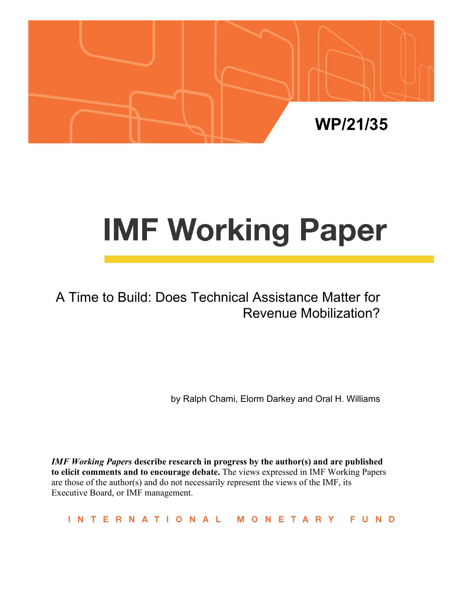

# **IMF Working Paper**

# A Time to Build: Does Technical Assistance Matter for Revenue Mobilization?

by Ralph Chami, Elorm Darkey and Oral H. Williams

*IMF Working Papers* **describe research in progress by the author(s) and are published to elicit comments and to encourage debate.** The views expressed in IMF Working Papers are those of the author(s) and do not necessarily represent the views of the IMF, its Executive Board, or IMF management.

INTERNATIONAL MONETARY FUND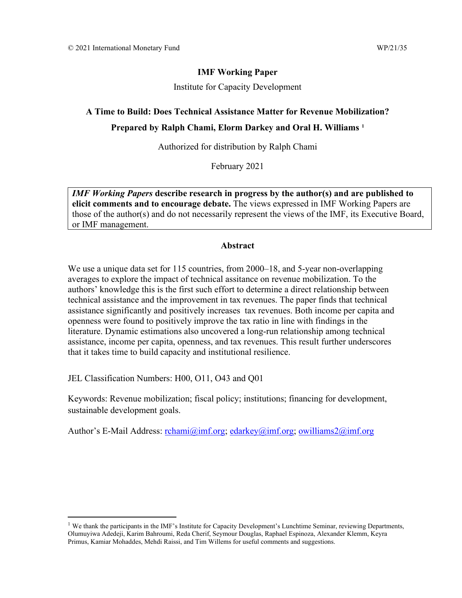#### **IMF Working Paper**

Institute for Capacity Development

## **A Time to Build: Does Technical Assistance Matter for Revenue Mobilization? Prepared by Ralph Chami, Elorm Darkey and Oral H. Williams [1](#page-1-0)**

Authorized for distribution by Ralph Chami

February 2021

*IMF Working Papers* **describe research in progress by the author(s) and are published to elicit comments and to encourage debate.** The views expressed in IMF Working Papers are those of the author(s) and do not necessarily represent the views of the IMF, its Executive Board, or IMF management.

#### **Abstract**

We use a unique data set for 115 countries, from 2000–18, and 5-year non-overlapping averages to explore the impact of technical assitance on revenue mobilization. To the authors' knowledge this is the first such effort to determine a direct relationship between technical assistance and the improvement in tax revenues. The paper finds that technical assistance significantly and positively increases tax revenues. Both income per capita and openness were found to positively improve the tax ratio in line with findings in the literature. Dynamic estimations also uncovered a long-run relationship among technical assistance, income per capita, openness, and tax revenues. This result further underscores that it takes time to build capacity and institutional resilience.

JEL Classification Numbers: H00, O11, O43 and Q01

Keywords: Revenue mobilization; fiscal policy; institutions; financing for development, sustainable development goals.

Author's E-Mail Address: [rchami@imf.org;](mailto:rchami@imf.org) [edarkey@imf.org;](mailto:edarkey@imf.org) [owilliams2@imf.org](mailto:owilliams2@imf.org)

<span id="page-1-0"></span><sup>&</sup>lt;sup>1</sup> We thank the participants in the IMF's Institute for Capacity Development's Lunchtime Seminar, reviewing Departments, Olumuyiwa Adedeji, Karim Bahroumi, Reda Cherif, Seymour Douglas, Raphael Espinoza, Alexander Klemm, Keyra Primus, Kamiar Mohaddes, Mehdi Raissi, and Tim Willems for useful comments and suggestions.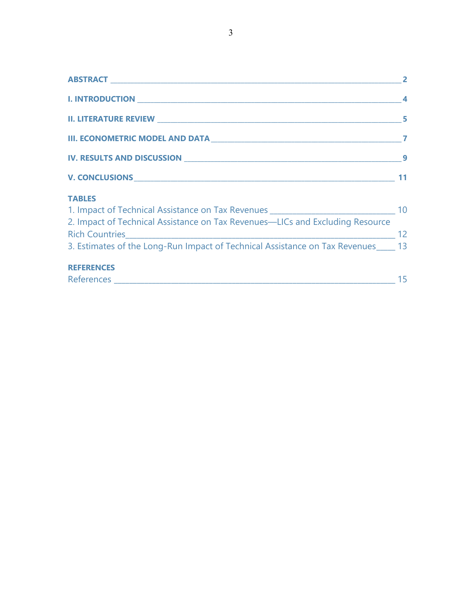| $\overline{\phantom{a}}$ 2                                                           |    |
|--------------------------------------------------------------------------------------|----|
|                                                                                      |    |
|                                                                                      |    |
|                                                                                      |    |
|                                                                                      |    |
|                                                                                      |    |
| <b>TABLES</b>                                                                        |    |
| 1. Impact of Technical Assistance on Tax Revenues _______________________________ 10 |    |
| 2. Impact of Technical Assistance on Tax Revenues-LICs and Excluding Resource        |    |
|                                                                                      |    |
| 3. Estimates of the Long-Run Impact of Technical Assistance on Tax Revenues 13       |    |
| <b>REFERENCES</b>                                                                    |    |
|                                                                                      | 15 |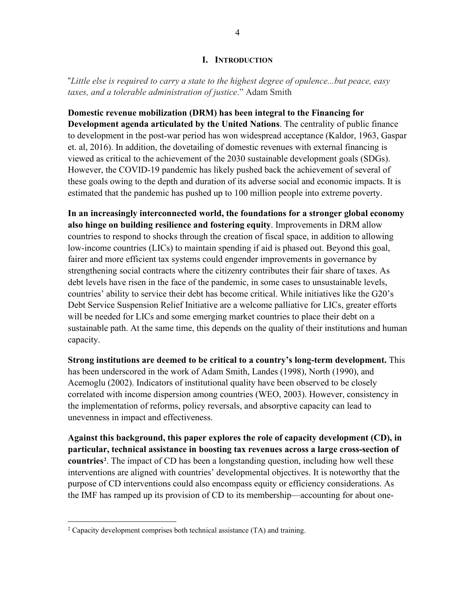#### **I. INTRODUCTION**

"*Little else is required to carry a state to the highest degree of opulence...but peace, easy taxes, and a tolerable administration of justice*." Adam Smith

**Domestic revenue mobilization (DRM) has been integral to the Financing for Development agenda articulated by the United Nations**. The centrality of public finance to development in the post-war period has won widespread acceptance (Kaldor, 1963, Gaspar et. al, 2016). In addition, the dovetailing of domestic revenues with external financing is viewed as critical to the achievement of the 2030 sustainable development goals (SDGs). However, the COVID-19 pandemic has likely pushed back the achievement of several of these goals owing to the depth and duration of its adverse social and economic impacts. It is estimated that the pandemic has pushed up to 100 million people into extreme poverty.

**In an increasingly interconnected world, the foundations for a stronger global economy also hinge on building resilience and fostering equity**. Improvements in DRM allow countries to respond to shocks through the creation of fiscal space, in addition to allowing low-income countries (LICs) to maintain spending if aid is phased out. Beyond this goal, fairer and more efficient tax systems could engender improvements in governance by strengthening social contracts where the citizenry contributes their fair share of taxes. As debt levels have risen in the face of the pandemic, in some cases to unsustainable levels, countries' ability to service their debt has become critical. While initiatives like the G20's Debt Service Suspension Relief Initiative are a welcome palliative for LICs, greater efforts will be needed for LICs and some emerging market countries to place their debt on a sustainable path. At the same time, this depends on the quality of their institutions and human capacity.

**Strong institutions are deemed to be critical to a country's long-term development.** This has been underscored in the work of Adam Smith, Landes (1998), North (1990), and Acemoglu (2002). Indicators of institutional quality have been observed to be closely correlated with income dispersion among countries (WEO, 2003). However, consistency in the implementation of reforms, policy reversals, and absorptive capacity can lead to unevenness in impact and effectiveness.

**Against this background, this paper explores the role of capacity development (CD), in particular, technical assistance in boosting tax revenues across a large cross-section of countries[2](#page-3-0)** . The impact of CD has been a longstanding question, including how well these interventions are aligned with countries' developmental objectives. It is noteworthy that the purpose of CD interventions could also encompass equity or efficiency considerations. As the IMF has ramped up its provision of CD to its membership—accounting for about one-

<span id="page-3-0"></span><sup>&</sup>lt;sup>2</sup> Capacity development comprises both technical assistance (TA) and training.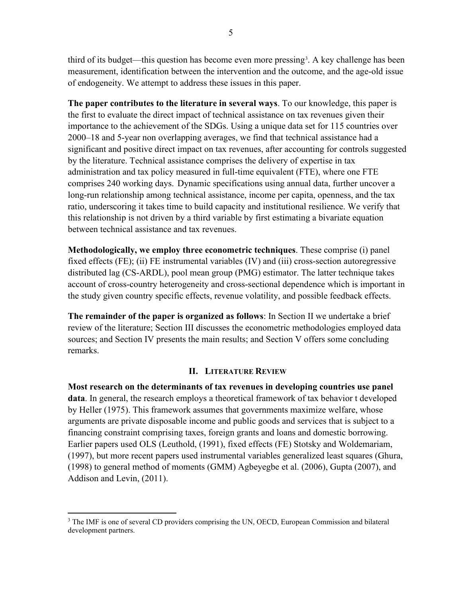third of its budget—this question has become even more pressing<sup>[3](#page-4-0)</sup>. A key challenge has been measurement, identification between the intervention and the outcome, and the age-old issue of endogeneity. We attempt to address these issues in this paper.

**The paper contributes to the literature in several ways**. To our knowledge, this paper is the first to evaluate the direct impact of technical assistance on tax revenues given their importance to the achievement of the SDGs. Using a unique data set for 115 countries over 2000–18 and 5-year non overlapping averages, we find that technical assistance had a significant and positive direct impact on tax revenues, after accounting for controls suggested by the literature. Technical assistance comprises the delivery of expertise in tax administration and tax policy measured in full-time equivalent (FTE), where one FTE comprises 240 working days. Dynamic specifications using annual data, further uncover a long-run relationship among technical assistance, income per capita, openness, and the tax ratio, underscoring it takes time to build capacity and institutional resilience. We verify that this relationship is not driven by a third variable by first estimating a bivariate equation between technical assistance and tax revenues.

**Methodologically, we employ three econometric techniques**. These comprise (i) panel fixed effects (FE); (ii) FE instrumental variables (IV) and (iii) cross-section autoregressive distributed lag (CS-ARDL), pool mean group (PMG) estimator. The latter technique takes account of cross-country heterogeneity and cross-sectional dependence which is important in the study given country specific effects, revenue volatility, and possible feedback effects.

**The remainder of the paper is organized as follows**: In Section II we undertake a brief review of the literature; Section III discusses the econometric methodologies employed data sources; and Section IV presents the main results; and Section V offers some concluding remarks.

#### **II. LITERATURE REVIEW**

**Most research on the determinants of tax revenues in developing countries use panel data**. In general, the research employs a theoretical framework of tax behavior t developed by Heller (1975). This framework assumes that governments maximize welfare, whose arguments are private disposable income and public goods and services that is subject to a financing constraint comprising taxes, foreign grants and loans and domestic borrowing. Earlier papers used OLS (Leuthold, (1991), fixed effects (FE) Stotsky and Woldemariam, (1997), but more recent papers used instrumental variables generalized least squares (Ghura, (1998) to general method of moments (GMM) Agbeyegbe et al. (2006), Gupta (2007), and Addison and Levin, (2011).

<span id="page-4-0"></span><sup>&</sup>lt;sup>3</sup> The IMF is one of several CD providers comprising the UN, OECD, European Commission and bilateral development partners.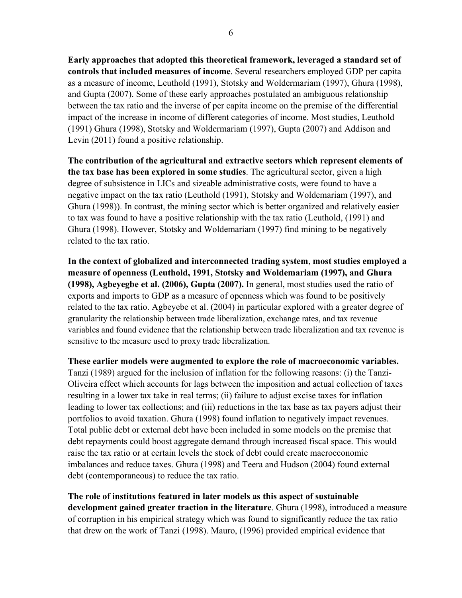**Early approaches that adopted this theoretical framework, leveraged a standard set of controls that included measures of income**. Several researchers employed GDP per capita as a measure of income, Leuthold (1991), Stotsky and Woldermariam (1997), Ghura (1998), and Gupta (2007). Some of these early approaches postulated an ambiguous relationship between the tax ratio and the inverse of per capita income on the premise of the differential impact of the increase in income of different categories of income. Most studies, Leuthold (1991) Ghura (1998), Stotsky and Woldermariam (1997), Gupta (2007) and Addison and Levin (2011) found a positive relationship.

**The contribution of the agricultural and extractive sectors which represent elements of the tax base has been explored in some studies**. The agricultural sector, given a high degree of subsistence in LICs and sizeable administrative costs, were found to have a negative impact on the tax ratio (Leuthold (1991), Stotsky and Woldemariam (1997), and Ghura (1998)). In contrast, the mining sector which is better organized and relatively easier to tax was found to have a positive relationship with the tax ratio (Leuthold, (1991) and Ghura (1998). However, Stotsky and Woldemariam (1997) find mining to be negatively related to the tax ratio.

**In the context of globalized and interconnected trading system**, **most studies employed a measure of openness (Leuthold, 1991, Stotsky and Woldemariam (1997), and Ghura (1998), Agbeyegbe et al. (2006), Gupta (2007).** In general, most studies used the ratio of exports and imports to GDP as a measure of openness which was found to be positively related to the tax ratio. Agbeyebe et al. (2004) in particular explored with a greater degree of granularity the relationship between trade liberalization, exchange rates, and tax revenue variables and found evidence that the relationship between trade liberalization and tax revenue is sensitive to the measure used to proxy trade liberalization.

**These earlier models were augmented to explore the role of macroeconomic variables.** Tanzi (1989) argued for the inclusion of inflation for the following reasons: (i) the Tanzi-Oliveira effect which accounts for lags between the imposition and actual collection of taxes resulting in a lower tax take in real terms; (ii) failure to adjust excise taxes for inflation leading to lower tax collections; and (iii) reductions in the tax base as tax payers adjust their portfolios to avoid taxation. Ghura (1998) found inflation to negatively impact revenues. Total public debt or external debt have been included in some models on the premise that debt repayments could boost aggregate demand through increased fiscal space. This would raise the tax ratio or at certain levels the stock of debt could create macroeconomic imbalances and reduce taxes. Ghura (1998) and Teera and Hudson (2004) found external debt (contemporaneous) to reduce the tax ratio.

**The role of institutions featured in later models as this aspect of sustainable development gained greater traction in the literature**. Ghura (1998), introduced a measure of corruption in his empirical strategy which was found to significantly reduce the tax ratio that drew on the work of Tanzi (1998). Mauro, (1996) provided empirical evidence that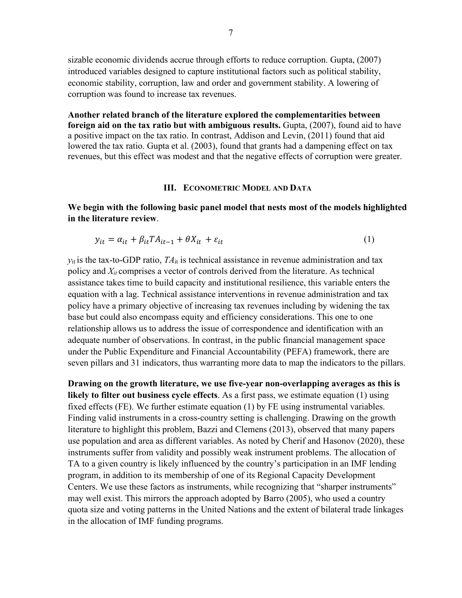sizable economic dividends accrue through efforts to reduce corruption. Gupta, (2007) introduced variables designed to capture institutional factors such as political stability, economic stability, corruption, law and order and government stability. A lowering of corruption was found to increase tax revenues.

**Another related branch of the literature explored the complementarities between foreign aid on the tax ratio but with ambiguous results.** Gupta, (2007), found aid to have a positive impact on the tax ratio. In contrast, Addison and Levin, (2011) found that aid lowered the tax ratio. Gupta et al. (2003), found that grants had a dampening effect on tax revenues, but this effect was modest and that the negative effects of corruption were greater.

#### **III. ECONOMETRIC MODEL AND DATA**

**We begin with the following basic panel model that nests most of the models highlighted in the literature review**.

$$
y_{it} = \alpha_{it} + \beta_{it} T A_{it-1} + \theta X_{it} + \varepsilon_{it}
$$
 (1)

 $y_{it}$  is the tax-to-GDP ratio,  $TA_{it}$  is technical assistance in revenue administration and tax policy and *Xit* comprises a vector of controls derived from the literature. As technical assistance takes time to build capacity and institutional resilience, this variable enters the equation with a lag. Technical assistance interventions in revenue administration and tax policy have a primary objective of increasing tax revenues including by widening the tax base but could also encompass equity and efficiency considerations. This one to one relationship allows us to address the issue of correspondence and identification with an adequate number of observations. In contrast, in the public financial management space under the Public Expenditure and Financial Accountability (PEFA) framework, there are seven pillars and 31 indicators, thus warranting more data to map the indicators to the pillars.

**Drawing on the growth literature, we use five-year non-overlapping averages as this is likely to filter out business cycle effects**. As a first pass, we estimate equation (1) using fixed effects (FE). We further estimate equation (1) by FE using instrumental variables. Finding valid instruments in a cross-country setting is challenging. Drawing on the growth literature to highlight this problem, Bazzi and Clemens (2013), observed that many papers use population and area as different variables. As noted by Cherif and Hasonov (2020), these instruments suffer from validity and possibly weak instrument problems. The allocation of TA to a given country is likely influenced by the country's participation in an IMF lending program, in addition to its membership of one of its Regional Capacity Development Centers. We use these factors as instruments, while recognizing that "sharper instruments" may well exist. This mirrors the approach adopted by Barro (2005), who used a country quota size and voting patterns in the United Nations and the extent of bilateral trade linkages in the allocation of IMF funding programs.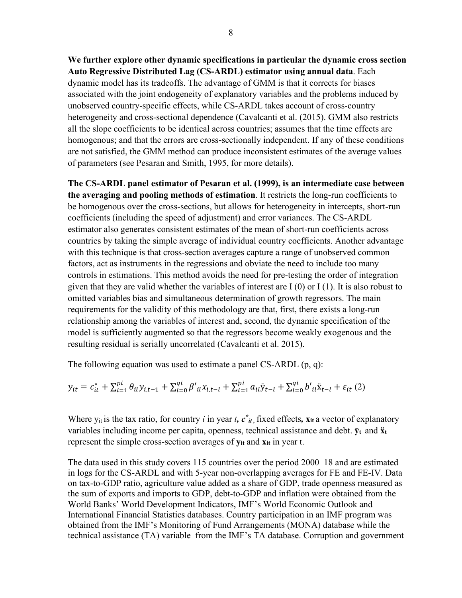**We further explore other dynamic specifications in particular the dynamic cross section Auto Regressive Distributed Lag (CS-ARDL) estimator using annual data**. Each dynamic model has its tradeoffs. The advantage of GMM is that it corrects for biases associated with the joint endogeneity of explanatory variables and the problems induced by unobserved country-specific effects, while CS-ARDL takes account of cross-country heterogeneity and cross-sectional dependence (Cavalcanti et al. (2015). GMM also restricts all the slope coefficients to be identical across countries; assumes that the time effects are homogenous; and that the errors are cross-sectionally independent. If any of these conditions are not satisfied, the GMM method can produce inconsistent estimates of the average values of parameters (see Pesaran and Smith, 1995, for more details).

**The CS-ARDL panel estimator of Pesaran et al. (1999), is an intermediate case between the averaging and pooling methods of estimation**. It restricts the long-run coefficients to be homogenous over the cross-sections, but allows for heterogeneity in intercepts, short-run coefficients (including the speed of adjustment) and error variances. The CS-ARDL estimator also generates consistent estimates of the mean of short-run coefficients across countries by taking the simple average of individual country coefficients. Another advantage with this technique is that cross-section averages capture a range of unobserved common factors, act as instruments in the regressions and obviate the need to include too many controls in estimations. This method avoids the need for pre-testing the order of integration given that they are valid whether the variables of interest are I (0) or I (1). It is also robust to omitted variables bias and simultaneous determination of growth regressors. The main requirements for the validity of this methodology are that, first, there exists a long-run relationship among the variables of interest and, second, the dynamic specification of the model is sufficiently augmented so that the regressors become weakly exogenous and the resulting residual is serially uncorrelated (Cavalcanti et al. 2015).

The following equation was used to estimate a panel CS-ARDL (p, q):

$$
y_{it} = c_{it}^* + \sum_{l=1}^{pi} \theta_{il} y_{i,t-1} + \sum_{l=0}^{qi} \beta'_{il} x_{i,t-l} + \sum_{l=1}^{pi} a_{il} \bar{y}_{t-l} + \sum_{l=0}^{qi} b'_{il} \ddot{x}_{t-l} + \varepsilon_{it} (2)
$$

Where  $y_{it}$  is the tax ratio, for country *i* in year *t*,  $c^*_{it}$ , fixed effects,  $x_{it}$  a vector of explanatory variables including income per capita, openness, technical assistance and debt. **ȳt** and **ẍ<sup>t</sup>** represent the simple cross-section averages of **yit** and **xit** in year t.

The data used in this study covers 115 countries over the period 2000–18 and are estimated in logs for the CS-ARDL and with 5-year non-overlapping averages for FE and FE-IV. Data on tax-to-GDP ratio, agriculture value added as a share of GDP, trade openness measured as the sum of exports and imports to GDP, debt-to-GDP and inflation were obtained from the World Banks' World Development Indicators, IMF's World Economic Outlook and International Financial Statistics databases. Country participation in an IMF program was obtained from the IMF's Monitoring of Fund Arrangements (MONA) database while the technical assistance (TA) variable from the IMF's TA database. Corruption and government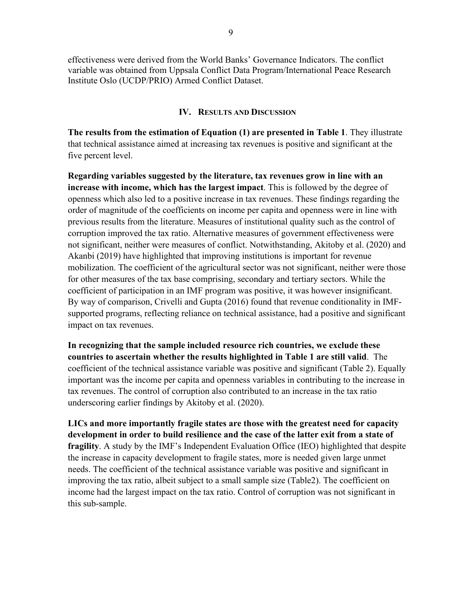effectiveness were derived from the World Banks' Governance Indicators. The conflict variable was obtained from Uppsala Conflict Data Program/International Peace Research Institute Oslo (UCDP/PRIO) Armed Conflict Dataset.

#### **IV. RESULTS AND DISCUSSION**

**The results from the estimation of Equation (1) are presented in Table 1**. They illustrate that technical assistance aimed at increasing tax revenues is positive and significant at the five percent level.

**Regarding variables suggested by the literature, tax revenues grow in line with an increase with income, which has the largest impact**. This is followed by the degree of openness which also led to a positive increase in tax revenues. These findings regarding the order of magnitude of the coefficients on income per capita and openness were in line with previous results from the literature. Measures of institutional quality such as the control of corruption improved the tax ratio. Alternative measures of government effectiveness were not significant, neither were measures of conflict. Notwithstanding, Akitoby et al. (2020) and Akanbi (2019) have highlighted that improving institutions is important for revenue mobilization. The coefficient of the agricultural sector was not significant, neither were those for other measures of the tax base comprising, secondary and tertiary sectors. While the coefficient of participation in an IMF program was positive, it was however insignificant. By way of comparison, Crivelli and Gupta (2016) found that revenue conditionality in IMFsupported programs, reflecting reliance on technical assistance, had a positive and significant impact on tax revenues.

**In recognizing that the sample included resource rich countries, we exclude these countries to ascertain whether the results highlighted in Table 1 are still valid**. The coefficient of the technical assistance variable was positive and significant (Table 2). Equally important was the income per capita and openness variables in contributing to the increase in tax revenues. The control of corruption also contributed to an increase in the tax ratio underscoring earlier findings by Akitoby et al. (2020).

**LICs and more importantly fragile states are those with the greatest need for capacity development in order to build resilience and the case of the latter exit from a state of fragility**. A study by the IMF's Independent Evaluation Office (IEO) highlighted that despite the increase in capacity development to fragile states, more is needed given large unmet needs. The coefficient of the technical assistance variable was positive and significant in improving the tax ratio, albeit subject to a small sample size (Table2). The coefficient on income had the largest impact on the tax ratio. Control of corruption was not significant in this sub-sample.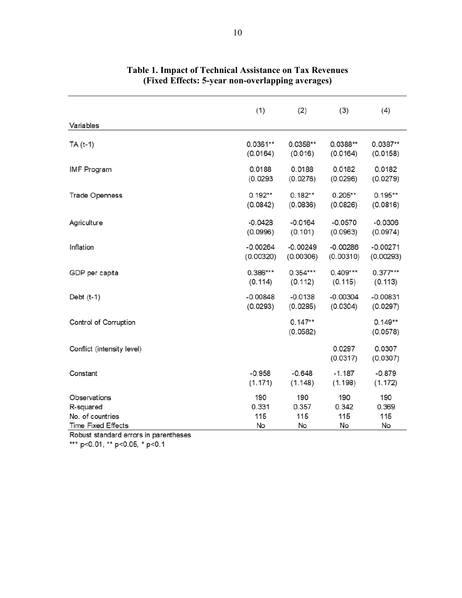|                            | (1)        | (2)                   | (3)                | (4)                   |
|----------------------------|------------|-----------------------|--------------------|-----------------------|
| Variables                  |            |                       |                    |                       |
| TA (t-1)                   | $0.0361**$ | $0.0358**$            | $0.0388**$         | $0.0387**$            |
|                            | (0.0164)   | (0.016)               | (0.0164)           | (0.0158)              |
| <b>IMF</b> Program         | 0.0188     | 0.0188                | 0.0182             | 0.0182                |
|                            | (0.0293)   | (0.0276)              | (0.0296)           | (0.0279)              |
| <b>Trade Openness</b>      | $0.192**$  | $0.182**$             | $0.205**$          | $0.195**$             |
|                            | (0.0842)   | (0.0836)              | (0.0826)           | (0.0816)              |
| Agriculture                | $-0.0428$  | $-0.0164$             | $-0.0570$          | $-0.0306$             |
|                            | (0.0996)   | (0.101)               | (0.0963)           | (0.0974)              |
| Inflation                  | $-0.00264$ | $-0.00249$            | $-0.00286$         | $-0.00271$            |
|                            | (0.00320)  | (0.00306)             | (0.00310)          | (0.00293)             |
| GDP per capita             | $0.386***$ | $0.354***$            | $0.409***$         | $0.377***$            |
|                            | (0.114)    | (0.112)               | (0.115)            | (0.113)               |
| Debt $(t-1)$               | $-0.00848$ | $-0.0138$             | $-0.00304$         | $-0.00831$            |
|                            | (0.0293)   | (0.0285)              | (0.0304)           | (0.0297)              |
| Control of Corruption      |            | $0.147**$<br>(0.0582) |                    | $0.149**$<br>(0.0578) |
| Conflict (intensity level) |            |                       | 0.0297<br>(0.0317) | 0.0307<br>(0.0307)    |
| Constant                   | $-0.958$   | $-0.648$              | $-1.187$           | $-0.879$              |
|                            | (1.171)    | (1.148)               | (1.198)            | (1.172)               |
| Observations               | 190        | 190                   | 190                | 190                   |
| R-squared                  | 0.331      | 0.357                 | 0.342              | 0.369                 |
| No. of countries           | 115        | 115                   | 115                | 115                   |
| <b>Time Fixed Effects</b>  | No         | No                    | No                 | No                    |

#### **Table 1. Impact of Technical Assistance on Tax Revenues (Fixed Effects: 5-year non-overlapping averages)**

Robust standard errors in parentheses

\*\*\* p<0.01, \*\* p<0.05, \* p<0.1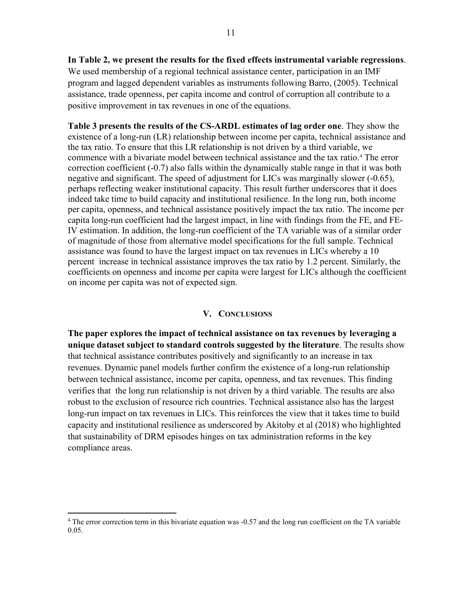**In Table 2, we present the results for the fixed effects instrumental variable regressions**. We used membership of a regional technical assistance center, participation in an IMF program and lagged dependent variables as instruments following Barro, (2005). Technical assistance, trade openness, per capita income and control of corruption all contribute to a positive improvement in tax revenues in one of the equations.

**Table 3 presents the results of the CS-ARDL estimates of lag order one**. They show the existence of a long-run (LR) relationship between income per capita, technical assistance and the tax ratio. To ensure that this LR relationship is not driven by a third variable, we commence with a bivariate model between technical assistance and the tax ratio.[4](#page-10-0) The error correction coefficient (-0.7) also falls within the dynamically stable range in that it was both negative and significant. The speed of adjustment for LICs was marginally slower (-0.65), perhaps reflecting weaker institutional capacity. This result further underscores that it does indeed take time to build capacity and institutional resilience. In the long run, both income per capita, openness, and technical assistance positively impact the tax ratio. The income per capita long-run coefficient had the largest impact, in line with findings from the FE, and FE-IV estimation. In addition, the long-run coefficient of the TA variable was of a similar order of magnitude of those from alternative model specifications for the full sample. Technical assistance was found to have the largest impact on tax revenues in LICs whereby a 10 percent increase in technical assistance improves the tax ratio by 1.2 percent. Similarly, the coefficients on openness and income per capita were largest for LICs although the coefficient on income per capita was not of expected sign.

#### **V. CONCLUSIONS**

**The paper explores the impact of technical assistance on tax revenues by leveraging a unique dataset subject to standard controls suggested by the literature**. The results show that technical assistance contributes positively and significantly to an increase in tax revenues. Dynamic panel models further confirm the existence of a long-run relationship between technical assistance, income per capita, openness, and tax revenues. This finding verifies that the long run relationship is not driven by a third variable. The results are also robust to the exclusion of resource rich countries. Technical assistance also has the largest long-run impact on tax revenues in LICs. This reinforces the view that it takes time to build capacity and institutional resilience as underscored by Akitoby et al (2018) who highlighted that sustainability of DRM episodes hinges on tax administration reforms in the key compliance areas.

<span id="page-10-0"></span><sup>&</sup>lt;sup>4</sup> The error correction term in this bivariate equation was -0.57 and the long run coefficient on the TA variable 0.05.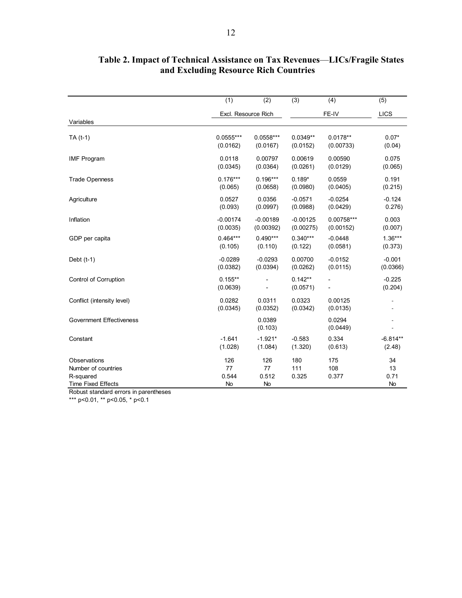|                                                                                                                | (1)                      | (2)                      | (3)                   | (4)                 | (5)                    |
|----------------------------------------------------------------------------------------------------------------|--------------------------|--------------------------|-----------------------|---------------------|------------------------|
|                                                                                                                | Excl. Resource Rich      |                          | FE-IV                 |                     | LICS                   |
| Variables                                                                                                      |                          |                          |                       |                     |                        |
| TA (t-1)                                                                                                       | $0.0555***$              | $0.0558***$              | $0.0349**$            | $0.0178**$          | $0.07*$                |
|                                                                                                                | (0.0162)                 | (0.0167)                 | (0.0152)              | (0.00733)           | (0.04)                 |
| <b>IMF Program</b>                                                                                             | 0.0118                   | 0.00797                  | 0.00619               | 0.00590             | 0.075                  |
|                                                                                                                | (0.0345)                 | (0.0364)                 | (0.0261)              | (0.0129)            | (0.065)                |
| <b>Trade Openness</b>                                                                                          | $0.176***$               | $0.196***$               | $0.189*$              | 0.0559              | 0.191                  |
|                                                                                                                | (0.065)                  | (0.0658)                 | (0.0980)              | (0.0405)            | (0.215)                |
| Agriculture                                                                                                    | 0.0527                   | 0.0356                   | $-0.0571$             | $-0.0254$           | $-0.124$               |
|                                                                                                                | (0.093)                  | (0.0997)                 | (0.0988)              | (0.0429)            | 0.276)                 |
| Inflation                                                                                                      | $-0.00174$               | $-0.00189$               | $-0.00125$            | $0.00758***$        | 0.003                  |
|                                                                                                                | (0.0035)                 | (0.00392)                | (0.00275)             | (0.00152)           | (0.007)                |
| GDP per capita                                                                                                 | $0.464***$               | $0.490***$               | $0.340***$            | $-0.0448$           | $1.36***$              |
|                                                                                                                | (0.105)                  | (0.110)                  | (0.122)               | (0.0581)            | (0.373)                |
| Debt $(t-1)$                                                                                                   | $-0.0289$                | $-0.0293$                | 0.00700               | $-0.0152$           | $-0.001$               |
|                                                                                                                | (0.0382)                 | (0.0394)                 | (0.0262)              | (0.0115)            | (0.0366)               |
| <b>Control of Corruption</b>                                                                                   | $0.155***$<br>(0.0639)   |                          | $0.142**$<br>(0.0571) |                     | $-0.225$<br>(0.204)    |
| Conflict (intensity level)                                                                                     | 0.0282<br>(0.0345)       | 0.0311<br>(0.0352)       | 0.0323<br>(0.0342)    | 0.00125<br>(0.0135) |                        |
| <b>Government Effectiveness</b>                                                                                |                          | 0.0389<br>(0.103)        |                       | 0.0294<br>(0.0449)  |                        |
| Constant                                                                                                       | $-1.641$                 | $-1.921*$                | $-0.583$              | 0.334               | $-6.814**$             |
|                                                                                                                | (1.028)                  | (1.084)                  | (1.320)               | (0.613)             | (2.48)                 |
| Observations<br>Number of countries<br>R-squared<br><b>Time Fixed Effects</b><br>and the state of the state of | 126<br>77<br>0.544<br>No | 126<br>77<br>0.512<br>No | 180<br>111<br>0.325   | 175<br>108<br>0.377 | 34<br>13<br>0.71<br>No |

### **Table 2. Impact of Technical Assistance on Tax Revenues**—**LICs/Fragile States and Excluding Resource Rich Countries**

Robust standard errors in parentheses

\*\*\* p<0.01, \*\* p<0.05, \* p<0.1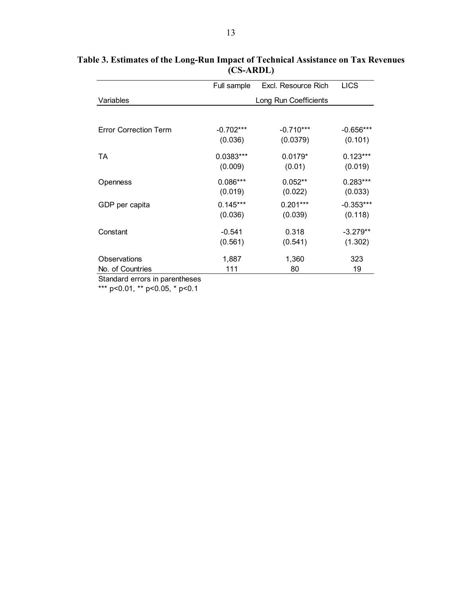|                                                     | Full sample           | Excl. Resource Rich | <b>LICS</b> |  |  |
|-----------------------------------------------------|-----------------------|---------------------|-------------|--|--|
| Variables                                           | Long Run Coefficients |                     |             |  |  |
|                                                     |                       |                     |             |  |  |
| <b>Error Correction Term</b>                        | $-0.702***$           | $-0.710***$         | $-0.656***$ |  |  |
|                                                     | (0.036)               | (0.0379)            | (0.101)     |  |  |
| TA                                                  | 0.0383***             | $0.0179*$           | $0.123***$  |  |  |
|                                                     | (0.009)               | (0.01)              | (0.019)     |  |  |
| Openness                                            | $0.086***$            | $0.052**$           | $0.283***$  |  |  |
|                                                     | (0.019)               | (0.022)             | (0.033)     |  |  |
| GDP per capita                                      | $0.145***$            | $0.201***$          | $-0.353***$ |  |  |
|                                                     | (0.036)               | (0.039)             | (0.118)     |  |  |
| Constant                                            | $-0.541$              | 0.318               | $-3.279**$  |  |  |
|                                                     | (0.561)               | (0.541)             | (1.302)     |  |  |
| Observations                                        | 1,887                 | 1,360               | 323         |  |  |
| No. of Countries<br>$\sim$ $\sim$ $\sim$ $\sim$<br> | 111                   | 80                  | 19          |  |  |

**Table 3. Estimates of the Long-Run Impact of Technical Assistance on Tax Revenues (CS-ARDL)**

Standard errors in parentheses

\*\*\* p<0.01, \*\* p<0.05, \* p<0.1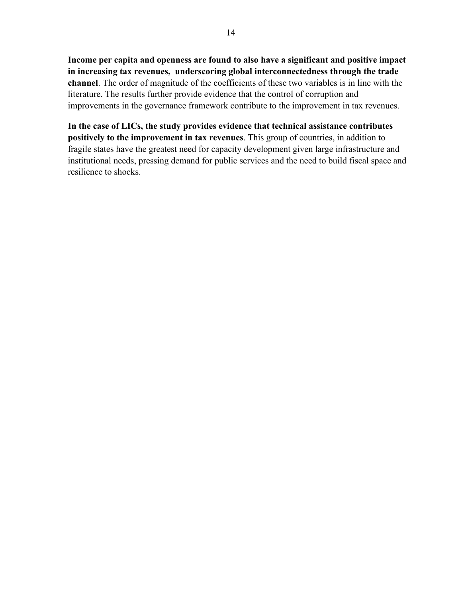**Income per capita and openness are found to also have a significant and positive impact in increasing tax revenues, underscoring global interconnectedness through the trade channel**. The order of magnitude of the coefficients of these two variables is in line with the literature. The results further provide evidence that the control of corruption and improvements in the governance framework contribute to the improvement in tax revenues.

**In the case of LICs, the study provides evidence that technical assistance contributes positively to the improvement in tax revenues**. This group of countries, in addition to fragile states have the greatest need for capacity development given large infrastructure and institutional needs, pressing demand for public services and the need to build fiscal space and resilience to shocks.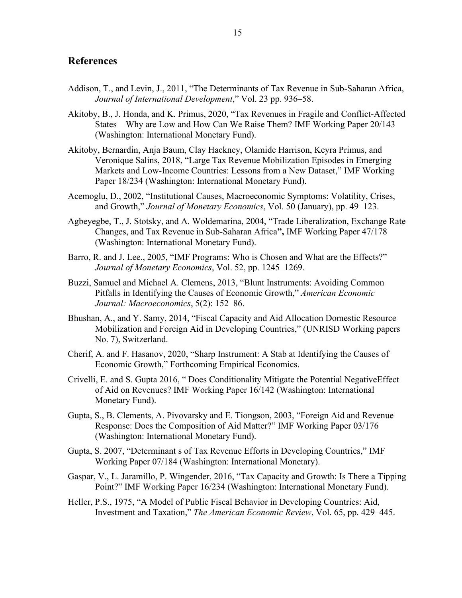#### **References**

- Addison, T., and Levin, J., 2011, "The Determinants of Tax Revenue in Sub-Saharan Africa, *Journal of International Development*," Vol. 23 pp. 936–58.
- Akitoby, B., J. Honda, and K. Primus, 2020, "Tax Revenues in Fragile and Conflict-Affected States—Why are Low and How Can We Raise Them? IMF Working Paper 20/143 (Washington: International Monetary Fund).
- Akitoby, Bernardin, Anja Baum, Clay Hackney, Olamide Harrison, Keyra Primus, and Veronique Salins, 2018, "Large Tax Revenue Mobilization Episodes in Emerging Markets and Low-Income Countries: Lessons from a New Dataset," IMF Working Paper 18/234 (Washington: International Monetary Fund).
- Acemoglu, D., 2002, "Institutional Causes, Macroeconomic Symptoms: Volatility, Crises, and Growth," *Journal of Monetary Economics*, Vol. 50 (January), pp. 49–123.
- Agbeyegbe, T., J. Stotsky, and A. Woldemarina, 2004, "Trade Liberalization, Exchange Rate Changes, and Tax Revenue in Sub-Saharan Africa**",** IMF Working Paper 47/178 (Washington: International Monetary Fund).
- Barro, R. and J. Lee., 2005, "IMF Programs: Who is Chosen and What are the Effects?" *Journal of Monetary Economics*, Vol. 52, pp. 1245–1269.
- Buzzi, Samuel and Michael A. Clemens, 2013, "Blunt Instruments: Avoiding Common Pitfalls in Identifying the Causes of Economic Growth," *American Economic Journal: Macroeconomics*, 5(2): 152–86.
- Bhushan, A., and Y. Samy, 2014, "Fiscal Capacity and Aid Allocation Domestic Resource Mobilization and Foreign Aid in Developing Countries," (UNRISD Working papers No. 7), Switzerland.
- Cherif, A. and F. Hasanov, 2020, "Sharp Instrument: A Stab at Identifying the Causes of Economic Growth," Forthcoming Empirical Economics.
- Crivelli, E. and S. Gupta 2016, " Does Conditionality Mitigate the Potential NegativeEffect of Aid on Revenues? IMF Working Paper 16/142 (Washington: International Monetary Fund).
- Gupta, S., B. Clements, A. Pivovarsky and E. Tiongson, 2003, "Foreign Aid and Revenue Response: Does the Composition of Aid Matter?" IMF Working Paper 03/176 (Washington: International Monetary Fund).
- Gupta, S. 2007, "Determinant s of Tax Revenue Efforts in Developing Countries," IMF Working Paper 07/184 (Washington: International Monetary).
- Gaspar, V., [L. Jaramillo,](https://www.imf.org/en/Publications/Publications-By-Author?author=Laura++Jaramillo&name=Laura%20%20Jaramillo) [P. Wingender,](https://www.imf.org/en/Publications/Publications-By-Author?author=Philippe++Wingender&name=Philippe%20%20Wingender) 2016, "Tax Capacity and Growth: Is There a Tipping Point?" IMF Working Paper 16/234 (Washington: International Monetary Fund).
- Heller, P.S., 1975, "A Model of Public Fiscal Behavior in Developing Countries: Aid, Investment and Taxation," *The American Economic Review*, Vol. 65, pp. 429–445.